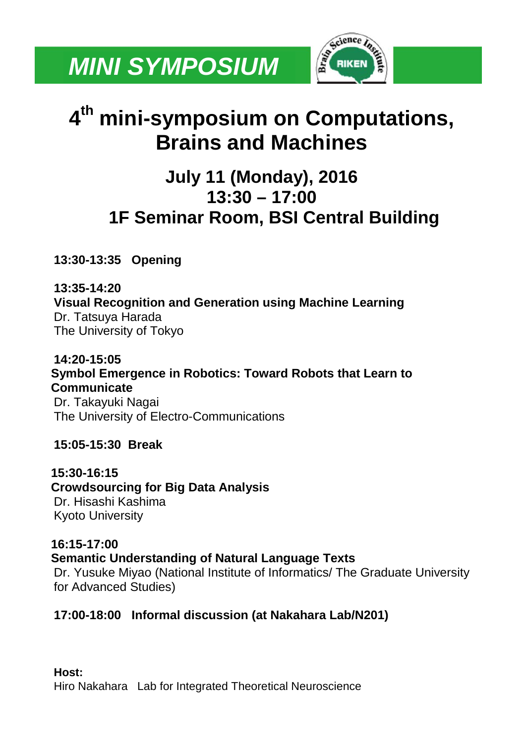

# **4th mini-symposium on Computations, Brains and Machines**

# **July 11 (Monday), 2016 13:30 – 17:00 1F Seminar Room, BSI Central Building**

**13:30-13:35 Opening**

**13:35-14:20 Visual Recognition and Generation using Machine Learning** Dr. Tatsuya Harada The University of Tokyo

**14:20-15:05 Symbol Emergence in Robotics: Toward Robots that Learn to Communicate** Dr. Takayuki Nagai The University of Electro-Communications

**15:05-15:30 Break**

**15:30-16:15 Crowdsourcing for Big Data Analysis** Dr. Hisashi Kashima Kyoto University

**16:15-17:00**

**Semantic Understanding of Natural Language Texts**

Dr. Yusuke Miyao (National Institute of Informatics/ The Graduate University for Advanced Studies)

#### **17:00-18:00 Informal discussion (at Nakahara Lab/N201)**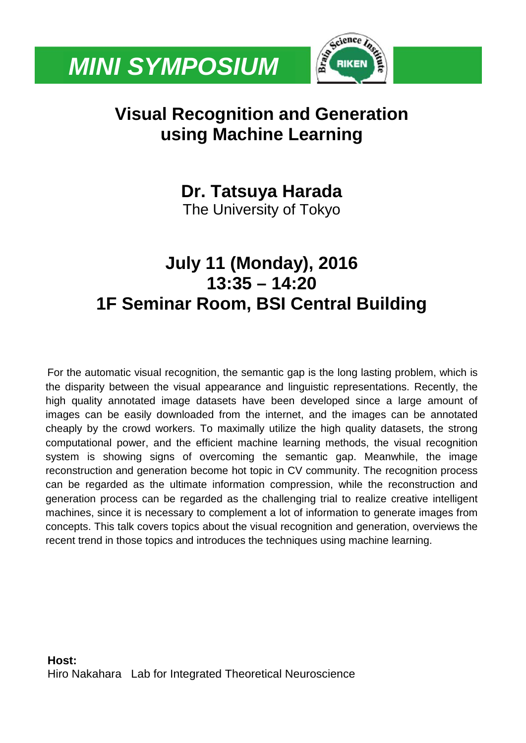

# **Visual Recognition and Generation using Machine Learning**

**Dr. Tatsuya Harada** The University of Tokyo

# **July 11 (Monday), 2016 13:35 – 14:20 1F Seminar Room, BSI Central Building**

For the automatic visual recognition, the semantic gap is the long lasting problem, which is the disparity between the visual appearance and linguistic representations. Recently, the high quality annotated image datasets have been developed since a large amount of images can be easily downloaded from the internet, and the images can be annotated cheaply by the crowd workers. To maximally utilize the high quality datasets, the strong computational power, and the efficient machine learning methods, the visual recognition system is showing signs of overcoming the semantic gap. Meanwhile, the image reconstruction and generation become hot topic in CV community. The recognition process can be regarded as the ultimate information compression, while the reconstruction and generation process can be regarded as the challenging trial to realize creative intelligent machines, since it is necessary to complement a lot of information to generate images from concepts. This talk covers topics about the visual recognition and generation, overviews the recent trend in those topics and introduces the techniques using machine learning.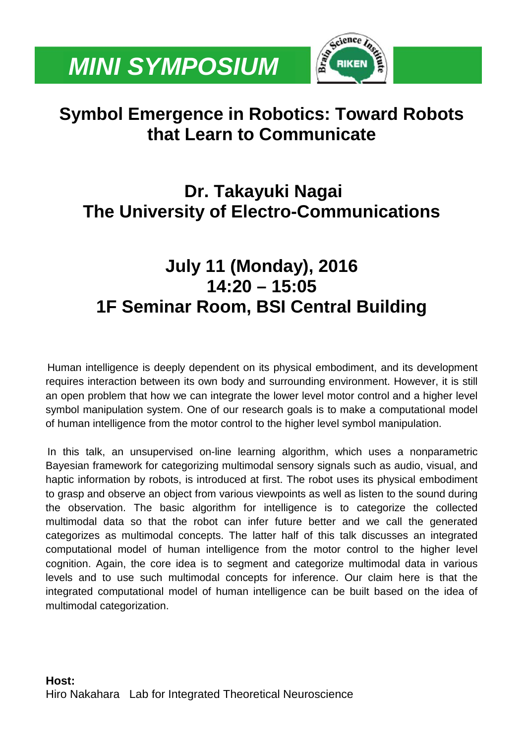

# **Symbol Emergence in Robotics: Toward Robots that Learn to Communicate**

# **Dr. Takayuki Nagai The University of Electro-Communications**

# **July 11 (Monday), 2016 14:20 – 15:05 1F Seminar Room, BSI Central Building**

Human intelligence is deeply dependent on its physical embodiment, and its development requires interaction between its own body and surrounding environment. However, it is still an open problem that how we can integrate the lower level motor control and a higher level symbol manipulation system. One of our research goals is to make a computational model of human intelligence from the motor control to the higher level symbol manipulation.

In this talk, an unsupervised on-line learning algorithm, which uses a nonparametric Bayesian framework for categorizing multimodal sensory signals such as audio, visual, and haptic information by robots, is introduced at first. The robot uses its physical embodiment to grasp and observe an object from various viewpoints as well as listen to the sound during the observation. The basic algorithm for intelligence is to categorize the collected multimodal data so that the robot can infer future better and we call the generated categorizes as multimodal concepts. The latter half of this talk discusses an integrated computational model of human intelligence from the motor control to the higher level cognition. Again, the core idea is to segment and categorize multimodal data in various levels and to use such multimodal concepts for inference. Our claim here is that the integrated computational model of human intelligence can be built based on the idea of multimodal categorization.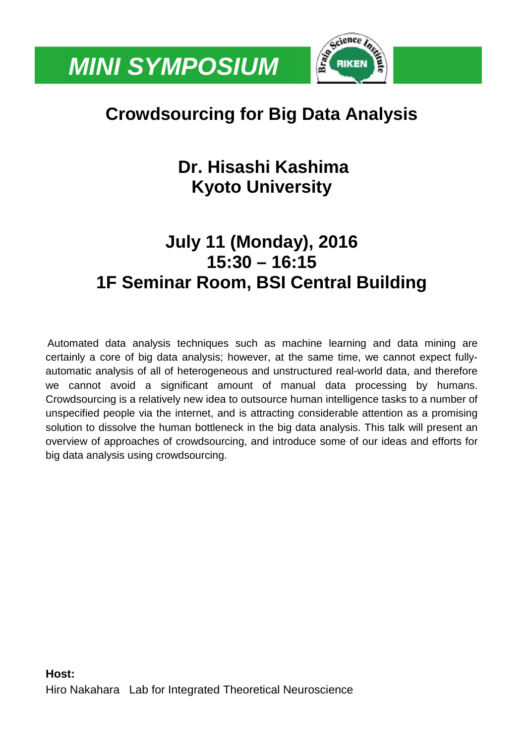

# **Crowdsourcing for Big Data Analysis**

# **Dr. Hisashi Kashima Kyoto University**

#### **July 11 (Monday), 2016 15:30 – 16:15 1F Seminar Room, BSI Central Building**

Automated data analysis techniques such as machine learning and data mining are certainly a core of big data analysis; however, at the same time, we cannot expect fullyautomatic analysis of all of heterogeneous and unstructured real-world data, and therefore we cannot avoid a significant amount of manual data processing by humans. Crowdsourcing is a relatively new idea to outsource human intelligence tasks to a number of unspecified people via the internet, and is attracting considerable attention as a promising solution to dissolve the human bottleneck in the big data analysis. This talk will present an overview of approaches of crowdsourcing, and introduce some of our ideas and efforts for big data analysis using crowdsourcing.